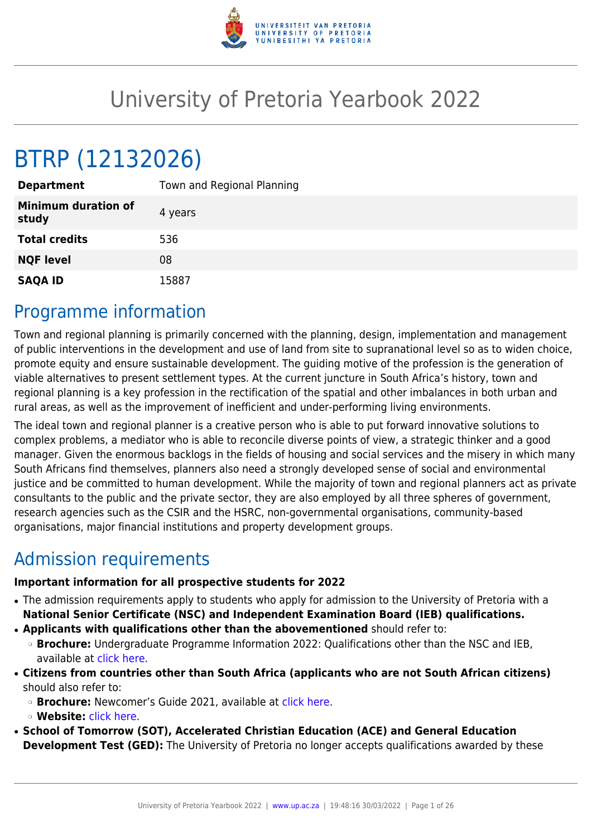

# University of Pretoria Yearbook 2022

# BTRP (12132026)

| <b>Department</b>                   | Town and Regional Planning |
|-------------------------------------|----------------------------|
| <b>Minimum duration of</b><br>study | 4 years                    |
| <b>Total credits</b>                | 536                        |
| <b>NQF level</b>                    | 08                         |
| <b>SAQA ID</b>                      | 15887                      |

## Programme information

Town and regional planning is primarily concerned with the planning, design, implementation and management of public interventions in the development and use of land from site to supranational level so as to widen choice, promote equity and ensure sustainable development. The guiding motive of the profession is the generation of viable alternatives to present settlement types. At the current juncture in South Africa's history, town and regional planning is a key profession in the rectification of the spatial and other imbalances in both urban and rural areas, as well as the improvement of inefficient and under-performing living environments.

The ideal town and regional planner is a creative person who is able to put forward innovative solutions to complex problems, a mediator who is able to reconcile diverse points of view, a strategic thinker and a good manager. Given the enormous backlogs in the fields of housing and social services and the misery in which many South Africans find themselves, planners also need a strongly developed sense of social and environmental justice and be committed to human development. While the majority of town and regional planners act as private consultants to the public and the private sector, they are also employed by all three spheres of government, research agencies such as the CSIR and the HSRC, non-governmental organisations, community-based organisations, major financial institutions and property development groups.

## Admission requirements

#### **Important information for all prospective students for 2022**

- The admission requirements apply to students who apply for admission to the University of Pretoria with a **National Senior Certificate (NSC) and Independent Examination Board (IEB) qualifications.**
- **Applicants with qualifications other than the abovementioned** should refer to:
	- ❍ **Brochure:** Undergraduate Programme Information 2022: Qualifications other than the NSC and IEB, available at [click here.](https://www.up.ac.za/students/article/2749263/admission-information)
- **Citizens from countries other than South Africa (applicants who are not South African citizens)** should also refer to:
	- ❍ **Brochure:** Newcomer's Guide 2021, available at [click here.](https://www.up.ac.za/students/article/2749263/admission-information)
	- ❍ **Website:** [click here](http://www.up.ac.za/international-cooperation-division).
- **School of Tomorrow (SOT), Accelerated Christian Education (ACE) and General Education Development Test (GED):** The University of Pretoria no longer accepts qualifications awarded by these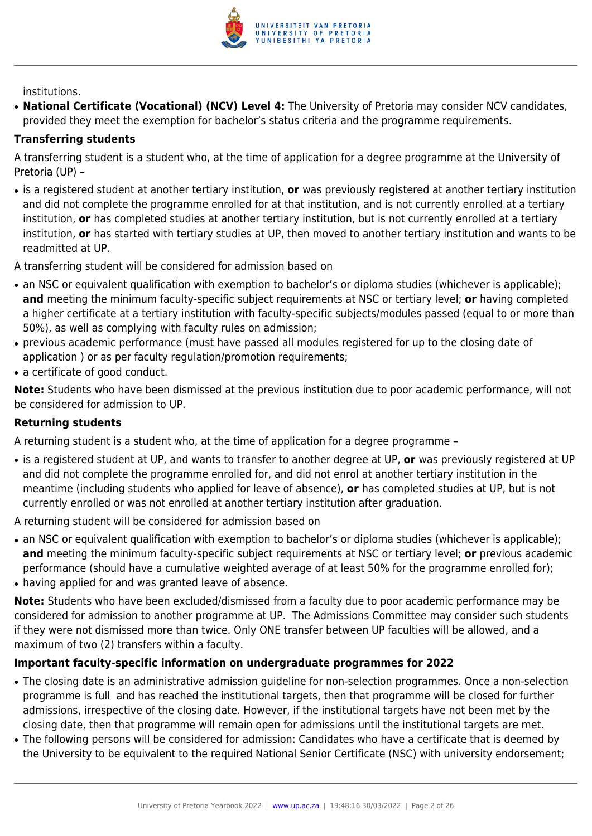

institutions.

● **National Certificate (Vocational) (NCV) Level 4:** The University of Pretoria may consider NCV candidates, provided they meet the exemption for bachelor's status criteria and the programme requirements.

#### **Transferring students**

A transferring student is a student who, at the time of application for a degree programme at the University of Pretoria (UP) –

● is a registered student at another tertiary institution, **or** was previously registered at another tertiary institution and did not complete the programme enrolled for at that institution, and is not currently enrolled at a tertiary institution, **or** has completed studies at another tertiary institution, but is not currently enrolled at a tertiary institution, **or** has started with tertiary studies at UP, then moved to another tertiary institution and wants to be readmitted at UP.

A transferring student will be considered for admission based on

- an NSC or equivalent qualification with exemption to bachelor's or diploma studies (whichever is applicable); **and** meeting the minimum faculty-specific subject requirements at NSC or tertiary level; **or** having completed a higher certificate at a tertiary institution with faculty-specific subjects/modules passed (equal to or more than 50%), as well as complying with faculty rules on admission;
- previous academic performance (must have passed all modules registered for up to the closing date of application ) or as per faculty regulation/promotion requirements;
- a certificate of good conduct.

**Note:** Students who have been dismissed at the previous institution due to poor academic performance, will not be considered for admission to UP.

#### **Returning students**

A returning student is a student who, at the time of application for a degree programme –

● is a registered student at UP, and wants to transfer to another degree at UP, **or** was previously registered at UP and did not complete the programme enrolled for, and did not enrol at another tertiary institution in the meantime (including students who applied for leave of absence), **or** has completed studies at UP, but is not currently enrolled or was not enrolled at another tertiary institution after graduation.

A returning student will be considered for admission based on

- an NSC or equivalent qualification with exemption to bachelor's or diploma studies (whichever is applicable); **and** meeting the minimum faculty-specific subject requirements at NSC or tertiary level; **or** previous academic performance (should have a cumulative weighted average of at least 50% for the programme enrolled for);
- having applied for and was granted leave of absence.

**Note:** Students who have been excluded/dismissed from a faculty due to poor academic performance may be considered for admission to another programme at UP. The Admissions Committee may consider such students if they were not dismissed more than twice. Only ONE transfer between UP faculties will be allowed, and a maximum of two (2) transfers within a faculty.

#### **Important faculty-specific information on undergraduate programmes for 2022**

- The closing date is an administrative admission guideline for non-selection programmes. Once a non-selection programme is full and has reached the institutional targets, then that programme will be closed for further admissions, irrespective of the closing date. However, if the institutional targets have not been met by the closing date, then that programme will remain open for admissions until the institutional targets are met.
- The following persons will be considered for admission: Candidates who have a certificate that is deemed by the University to be equivalent to the required National Senior Certificate (NSC) with university endorsement;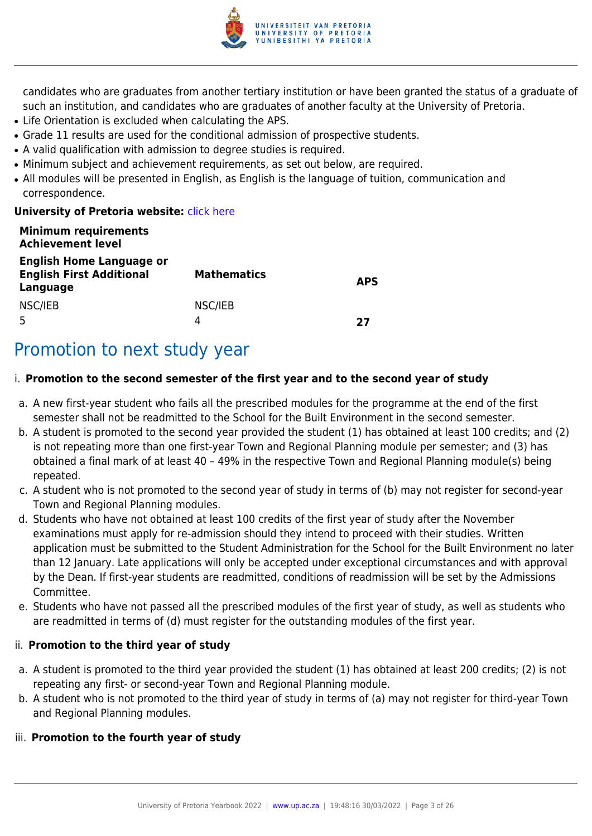

candidates who are graduates from another tertiary institution or have been granted the status of a graduate of such an institution, and candidates who are graduates of another faculty at the University of Pretoria.

- Life Orientation is excluded when calculating the APS.
- Grade 11 results are used for the conditional admission of prospective students.
- A valid qualification with admission to degree studies is required.
- Minimum subject and achievement requirements, as set out below, are required.
- All modules will be presented in English, as English is the language of tuition, communication and correspondence.

#### **University of Pretoria website: [click here](http://www.up.ac.za/ebit)**

| <b>Minimum requirements</b><br><b>Achievement level</b>                        |                    |            |
|--------------------------------------------------------------------------------|--------------------|------------|
| <b>English Home Language or</b><br><b>English First Additional</b><br>Language | <b>Mathematics</b> | <b>APS</b> |
| NSC/IEB                                                                        | NSC/IEB<br>Δ       | 77         |

## Promotion to next study year

#### i. **Promotion to the second semester of the first year and to the second year of study**

- a. A new first-year student who fails all the prescribed modules for the programme at the end of the first semester shall not be readmitted to the School for the Built Environment in the second semester.
- b. A student is promoted to the second year provided the student (1) has obtained at least 100 credits; and (2) is not repeating more than one first-year Town and Regional Planning module per semester; and (3) has obtained a final mark of at least 40 – 49% in the respective Town and Regional Planning module(s) being repeated.
- c. A student who is not promoted to the second year of study in terms of (b) may not register for second-year Town and Regional Planning modules.
- d. Students who have not obtained at least 100 credits of the first year of study after the November examinations must apply for re-admission should they intend to proceed with their studies. Written application must be submitted to the Student Administration for the School for the Built Environment no later than 12 January. Late applications will only be accepted under exceptional circumstances and with approval by the Dean. If first-year students are readmitted, conditions of readmission will be set by the Admissions Committee.
- e. Students who have not passed all the prescribed modules of the first year of study, as well as students who are readmitted in terms of (d) must register for the outstanding modules of the first year.

#### ii. **Promotion to the third year of study**

- a. A student is promoted to the third year provided the student (1) has obtained at least 200 credits; (2) is not repeating any first- or second-year Town and Regional Planning module.
- b. A student who is not promoted to the third year of study in terms of (a) may not register for third-year Town and Regional Planning modules.

#### iii. **Promotion to the fourth year of study**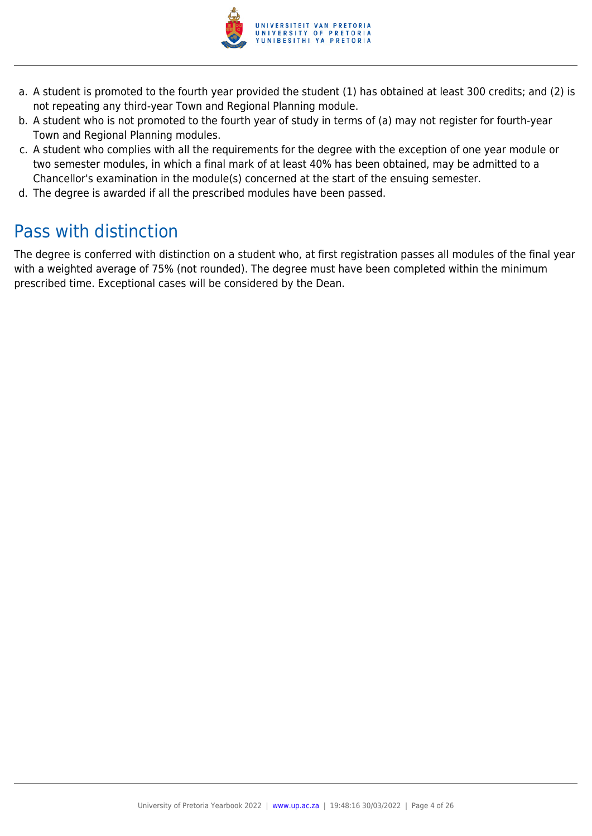

- a. A student is promoted to the fourth year provided the student (1) has obtained at least 300 credits; and (2) is not repeating any third-year Town and Regional Planning module.
- b. A student who is not promoted to the fourth year of study in terms of (a) may not register for fourth-year Town and Regional Planning modules.
- c. A student who complies with all the requirements for the degree with the exception of one year module or two semester modules, in which a final mark of at least 40% has been obtained, may be admitted to a Chancellor's examination in the module(s) concerned at the start of the ensuing semester.
- d. The degree is awarded if all the prescribed modules have been passed.

## Pass with distinction

The degree is conferred with distinction on a student who, at first registration passes all modules of the final year with a weighted average of 75% (not rounded). The degree must have been completed within the minimum prescribed time. Exceptional cases will be considered by the Dean.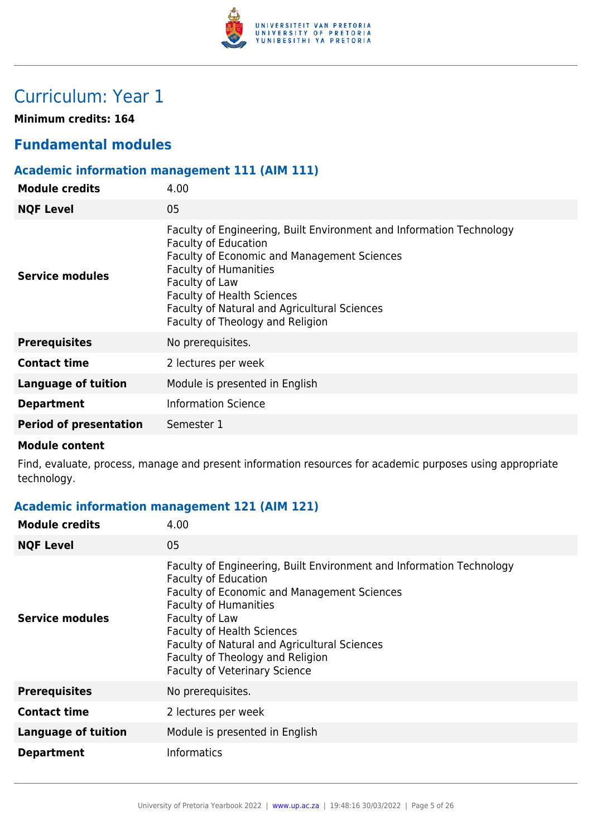

## Curriculum: Year 1

**Minimum credits: 164**

## **Fundamental modules**

## **Academic information management 111 (AIM 111)**

| <b>Module credits</b>         | 4.00                                                                                                                                                                                                                                                                                                                          |
|-------------------------------|-------------------------------------------------------------------------------------------------------------------------------------------------------------------------------------------------------------------------------------------------------------------------------------------------------------------------------|
| <b>NQF Level</b>              | 05                                                                                                                                                                                                                                                                                                                            |
| Service modules               | Faculty of Engineering, Built Environment and Information Technology<br><b>Faculty of Education</b><br>Faculty of Economic and Management Sciences<br><b>Faculty of Humanities</b><br>Faculty of Law<br><b>Faculty of Health Sciences</b><br>Faculty of Natural and Agricultural Sciences<br>Faculty of Theology and Religion |
| <b>Prerequisites</b>          | No prerequisites.                                                                                                                                                                                                                                                                                                             |
| <b>Contact time</b>           | 2 lectures per week                                                                                                                                                                                                                                                                                                           |
| <b>Language of tuition</b>    | Module is presented in English                                                                                                                                                                                                                                                                                                |
| <b>Department</b>             | <b>Information Science</b>                                                                                                                                                                                                                                                                                                    |
| <b>Period of presentation</b> | Semester 1                                                                                                                                                                                                                                                                                                                    |
|                               |                                                                                                                                                                                                                                                                                                                               |

#### **Module content**

Find, evaluate, process, manage and present information resources for academic purposes using appropriate technology.

### **Academic information management 121 (AIM 121)**

| <b>Module credits</b>      | 4.00                                                                                                                                                                                                                                                                                                                                                                         |
|----------------------------|------------------------------------------------------------------------------------------------------------------------------------------------------------------------------------------------------------------------------------------------------------------------------------------------------------------------------------------------------------------------------|
| <b>NQF Level</b>           | 05                                                                                                                                                                                                                                                                                                                                                                           |
| Service modules            | Faculty of Engineering, Built Environment and Information Technology<br><b>Faculty of Education</b><br><b>Faculty of Economic and Management Sciences</b><br><b>Faculty of Humanities</b><br>Faculty of Law<br><b>Faculty of Health Sciences</b><br>Faculty of Natural and Agricultural Sciences<br>Faculty of Theology and Religion<br><b>Faculty of Veterinary Science</b> |
| <b>Prerequisites</b>       | No prerequisites.                                                                                                                                                                                                                                                                                                                                                            |
| <b>Contact time</b>        | 2 lectures per week                                                                                                                                                                                                                                                                                                                                                          |
| <b>Language of tuition</b> | Module is presented in English                                                                                                                                                                                                                                                                                                                                               |
| <b>Department</b>          | <b>Informatics</b>                                                                                                                                                                                                                                                                                                                                                           |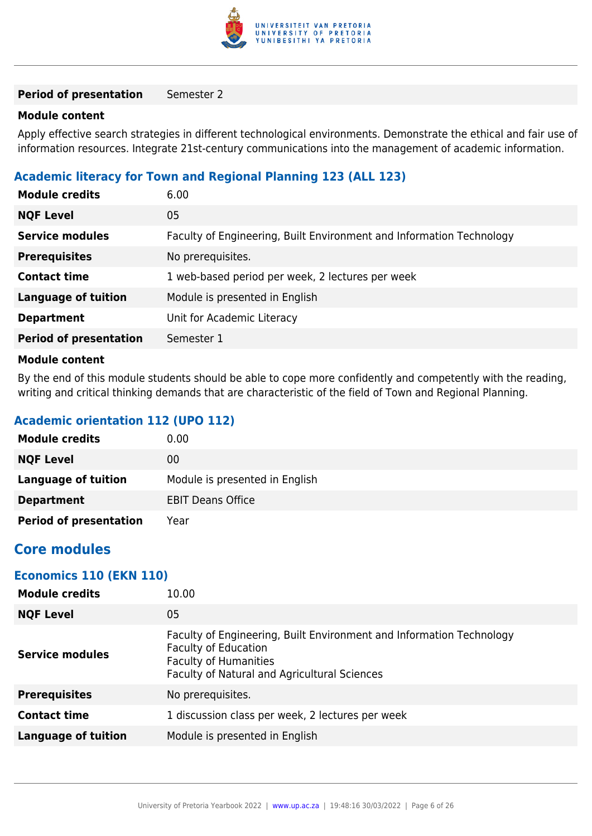

#### **Period of presentation** Semester 2

#### **Module content**

Apply effective search strategies in different technological environments. Demonstrate the ethical and fair use of information resources. Integrate 21st-century communications into the management of academic information.

#### **Academic literacy for Town and Regional Planning 123 (ALL 123)**

| <b>Module credits</b>         | 6.00                                                                 |
|-------------------------------|----------------------------------------------------------------------|
| <b>NQF Level</b>              | 05                                                                   |
| <b>Service modules</b>        | Faculty of Engineering, Built Environment and Information Technology |
| <b>Prerequisites</b>          | No prerequisites.                                                    |
| <b>Contact time</b>           | 1 web-based period per week, 2 lectures per week                     |
| <b>Language of tuition</b>    | Module is presented in English                                       |
| <b>Department</b>             | Unit for Academic Literacy                                           |
| <b>Period of presentation</b> | Semester 1                                                           |
| Madula aantant                |                                                                      |

#### **Module content**

By the end of this module students should be able to cope more confidently and competently with the reading, writing and critical thinking demands that are characteristic of the field of Town and Regional Planning.

#### **Academic orientation 112 (UPO 112)**

| <b>Module credits</b>         | 0.00                           |
|-------------------------------|--------------------------------|
| <b>NQF Level</b>              | 00                             |
| <b>Language of tuition</b>    | Module is presented in English |
| <b>Department</b>             | <b>EBIT Deans Office</b>       |
| <b>Period of presentation</b> | Year                           |

## **Core modules**

#### **Economics 110 (EKN 110)**

| 10.00                                                                                                                                                                               |
|-------------------------------------------------------------------------------------------------------------------------------------------------------------------------------------|
| 05                                                                                                                                                                                  |
| Faculty of Engineering, Built Environment and Information Technology<br><b>Faculty of Education</b><br><b>Faculty of Humanities</b><br>Faculty of Natural and Agricultural Sciences |
| No prerequisites.                                                                                                                                                                   |
| 1 discussion class per week, 2 lectures per week                                                                                                                                    |
| Module is presented in English                                                                                                                                                      |
|                                                                                                                                                                                     |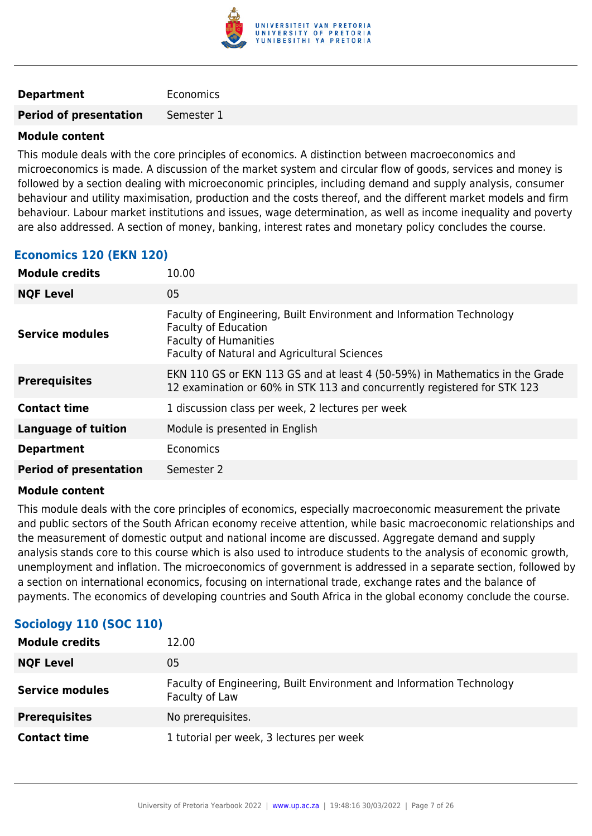

#### **Department** Economics

**Period of presentation** Semester 1

#### **Module content**

This module deals with the core principles of economics. A distinction between macroeconomics and microeconomics is made. A discussion of the market system and circular flow of goods, services and money is followed by a section dealing with microeconomic principles, including demand and supply analysis, consumer behaviour and utility maximisation, production and the costs thereof, and the different market models and firm behaviour. Labour market institutions and issues, wage determination, as well as income inequality and poverty are also addressed. A section of money, banking, interest rates and monetary policy concludes the course.

#### **Economics 120 (EKN 120)**

| <b>Module credits</b>         | 10.00                                                                                                                                                                               |
|-------------------------------|-------------------------------------------------------------------------------------------------------------------------------------------------------------------------------------|
| <b>NQF Level</b>              | 05                                                                                                                                                                                  |
| Service modules               | Faculty of Engineering, Built Environment and Information Technology<br><b>Faculty of Education</b><br><b>Faculty of Humanities</b><br>Faculty of Natural and Agricultural Sciences |
| <b>Prerequisites</b>          | EKN 110 GS or EKN 113 GS and at least 4 (50-59%) in Mathematics in the Grade<br>12 examination or 60% in STK 113 and concurrently registered for STK 123                            |
| <b>Contact time</b>           | 1 discussion class per week, 2 lectures per week                                                                                                                                    |
| <b>Language of tuition</b>    | Module is presented in English                                                                                                                                                      |
| <b>Department</b>             | Economics                                                                                                                                                                           |
| <b>Period of presentation</b> | Semester 2                                                                                                                                                                          |
|                               |                                                                                                                                                                                     |

#### **Module content**

This module deals with the core principles of economics, especially macroeconomic measurement the private and public sectors of the South African economy receive attention, while basic macroeconomic relationships and the measurement of domestic output and national income are discussed. Aggregate demand and supply analysis stands core to this course which is also used to introduce students to the analysis of economic growth, unemployment and inflation. The microeconomics of government is addressed in a separate section, followed by a section on international economics, focusing on international trade, exchange rates and the balance of payments. The economics of developing countries and South Africa in the global economy conclude the course.

| <b>Module credits</b>  | 12.00                                                                                  |
|------------------------|----------------------------------------------------------------------------------------|
| <b>NQF Level</b>       | 05                                                                                     |
| <b>Service modules</b> | Faculty of Engineering, Built Environment and Information Technology<br>Faculty of Law |
| <b>Prerequisites</b>   | No prerequisites.                                                                      |
| <b>Contact time</b>    | 1 tutorial per week, 3 lectures per week                                               |

#### **Sociology 110 (SOC 110)**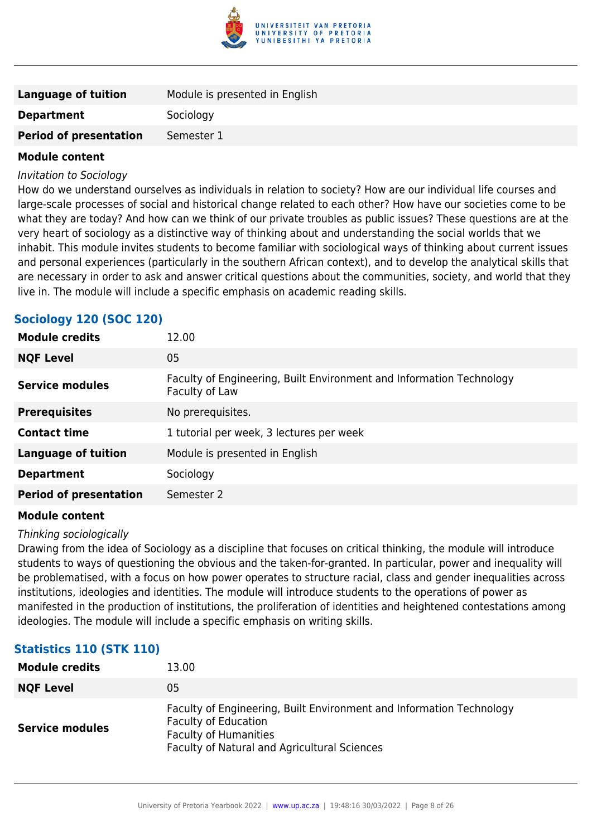

| Language of tuition           | Module is presented in English |
|-------------------------------|--------------------------------|
| <b>Department</b>             | Sociology                      |
| <b>Period of presentation</b> | Semester 1                     |
|                               |                                |

#### Invitation to Sociology

How do we understand ourselves as individuals in relation to society? How are our individual life courses and large-scale processes of social and historical change related to each other? How have our societies come to be what they are today? And how can we think of our private troubles as public issues? These questions are at the very heart of sociology as a distinctive way of thinking about and understanding the social worlds that we inhabit. This module invites students to become familiar with sociological ways of thinking about current issues and personal experiences (particularly in the southern African context), and to develop the analytical skills that are necessary in order to ask and answer critical questions about the communities, society, and world that they live in. The module will include a specific emphasis on academic reading skills.

## **Sociology 120 (SOC 120)**

| <b>Module credits</b>         | 12.00                                                                                  |
|-------------------------------|----------------------------------------------------------------------------------------|
| <b>NQF Level</b>              | 05                                                                                     |
| Service modules               | Faculty of Engineering, Built Environment and Information Technology<br>Faculty of Law |
| <b>Prerequisites</b>          | No prerequisites.                                                                      |
| <b>Contact time</b>           | 1 tutorial per week, 3 lectures per week                                               |
| <b>Language of tuition</b>    | Module is presented in English                                                         |
| <b>Department</b>             | Sociology                                                                              |
| <b>Period of presentation</b> | Semester 2                                                                             |
|                               |                                                                                        |

#### **Module content**

#### Thinking sociologically

Drawing from the idea of Sociology as a discipline that focuses on critical thinking, the module will introduce students to ways of questioning the obvious and the taken-for-granted. In particular, power and inequality will be problematised, with a focus on how power operates to structure racial, class and gender inequalities across institutions, ideologies and identities. The module will introduce students to the operations of power as manifested in the production of institutions, the proliferation of identities and heightened contestations among ideologies. The module will include a specific emphasis on writing skills.

#### **Statistics 110 (STK 110)**

| <b>Module credits</b>  | 13.00                                                                                                                                                                               |
|------------------------|-------------------------------------------------------------------------------------------------------------------------------------------------------------------------------------|
| <b>NQF Level</b>       | 05                                                                                                                                                                                  |
| <b>Service modules</b> | Faculty of Engineering, Built Environment and Information Technology<br><b>Faculty of Education</b><br><b>Faculty of Humanities</b><br>Faculty of Natural and Agricultural Sciences |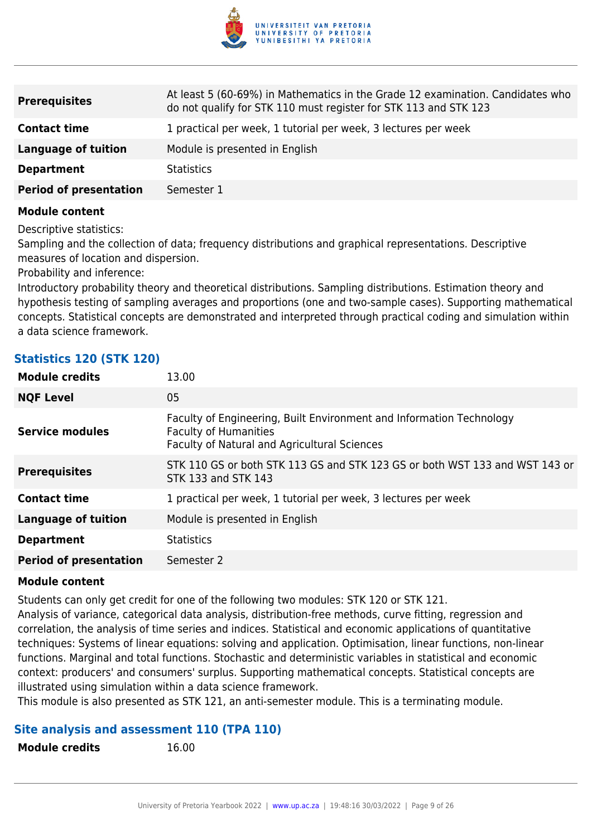

| <b>Prerequisites</b>          | At least 5 (60-69%) in Mathematics in the Grade 12 examination. Candidates who<br>do not qualify for STK 110 must register for STK 113 and STK 123 |
|-------------------------------|----------------------------------------------------------------------------------------------------------------------------------------------------|
| <b>Contact time</b>           | 1 practical per week, 1 tutorial per week, 3 lectures per week                                                                                     |
| Language of tuition           | Module is presented in English                                                                                                                     |
| <b>Department</b>             | <b>Statistics</b>                                                                                                                                  |
| <b>Period of presentation</b> | Semester 1                                                                                                                                         |

Descriptive statistics:

Sampling and the collection of data; frequency distributions and graphical representations. Descriptive measures of location and dispersion.

Probability and inference:

Introductory probability theory and theoretical distributions. Sampling distributions. Estimation theory and hypothesis testing of sampling averages and proportions (one and two-sample cases). Supporting mathematical concepts. Statistical concepts are demonstrated and interpreted through practical coding and simulation within a data science framework.

| <b>Statistics 120 (STK 120)</b> |  |  |  |
|---------------------------------|--|--|--|
|---------------------------------|--|--|--|

| <b>Module credits</b>         | 13.00                                                                                                                                                |
|-------------------------------|------------------------------------------------------------------------------------------------------------------------------------------------------|
| <b>NQF Level</b>              | 05                                                                                                                                                   |
| <b>Service modules</b>        | Faculty of Engineering, Built Environment and Information Technology<br><b>Faculty of Humanities</b><br>Faculty of Natural and Agricultural Sciences |
| <b>Prerequisites</b>          | STK 110 GS or both STK 113 GS and STK 123 GS or both WST 133 and WST 143 or<br>STK 133 and STK 143                                                   |
| <b>Contact time</b>           | 1 practical per week, 1 tutorial per week, 3 lectures per week                                                                                       |
| <b>Language of tuition</b>    | Module is presented in English                                                                                                                       |
| <b>Department</b>             | <b>Statistics</b>                                                                                                                                    |
| <b>Period of presentation</b> | Semester 2                                                                                                                                           |

#### **Module content**

Students can only get credit for one of the following two modules: STK 120 or STK 121.

Analysis of variance, categorical data analysis, distribution-free methods, curve fitting, regression and correlation, the analysis of time series and indices. Statistical and economic applications of quantitative techniques: Systems of linear equations: solving and application. Optimisation, linear functions, non-linear functions. Marginal and total functions. Stochastic and deterministic variables in statistical and economic context: producers' and consumers' surplus. Supporting mathematical concepts. Statistical concepts are illustrated using simulation within a data science framework.

This module is also presented as STK 121, an anti-semester module. This is a terminating module.

#### **Site analysis and assessment 110 (TPA 110)**

| <b>Module credits</b> |  |
|-----------------------|--|
|-----------------------|--|

**Module credits** 16.00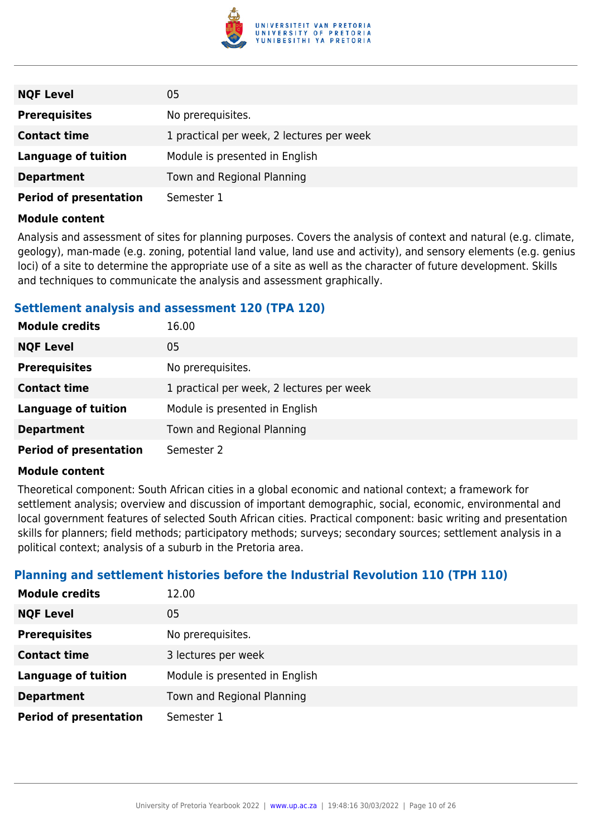

| <b>NQF Level</b>              | 05                                        |
|-------------------------------|-------------------------------------------|
| <b>Prerequisites</b>          | No prerequisites.                         |
| <b>Contact time</b>           | 1 practical per week, 2 lectures per week |
| Language of tuition           | Module is presented in English            |
| <b>Department</b>             | Town and Regional Planning                |
| <b>Period of presentation</b> | Semester 1                                |

Analysis and assessment of sites for planning purposes. Covers the analysis of context and natural (e.g. climate, geology), man-made (e.g. zoning, potential land value, land use and activity), and sensory elements (e.g. genius loci) of a site to determine the appropriate use of a site as well as the character of future development. Skills and techniques to communicate the analysis and assessment graphically.

#### **Settlement analysis and assessment 120 (TPA 120)**

| <b>Module credits</b>         | 16.00                                     |
|-------------------------------|-------------------------------------------|
| <b>NQF Level</b>              | 05                                        |
| <b>Prerequisites</b>          | No prerequisites.                         |
| <b>Contact time</b>           | 1 practical per week, 2 lectures per week |
| <b>Language of tuition</b>    | Module is presented in English            |
| <b>Department</b>             | Town and Regional Planning                |
| <b>Period of presentation</b> | Semester 2                                |

#### **Module content**

Theoretical component: South African cities in a global economic and national context; a framework for settlement analysis; overview and discussion of important demographic, social, economic, environmental and local government features of selected South African cities. Practical component: basic writing and presentation skills for planners; field methods; participatory methods; surveys; secondary sources; settlement analysis in a political context; analysis of a suburb in the Pretoria area.

#### **Planning and settlement histories before the Industrial Revolution 110 (TPH 110)**

| <b>Module credits</b>         | 12.00                          |
|-------------------------------|--------------------------------|
| <b>NQF Level</b>              | 05                             |
| <b>Prerequisites</b>          | No prerequisites.              |
| <b>Contact time</b>           | 3 lectures per week            |
| <b>Language of tuition</b>    | Module is presented in English |
| <b>Department</b>             | Town and Regional Planning     |
| <b>Period of presentation</b> | Semester 1                     |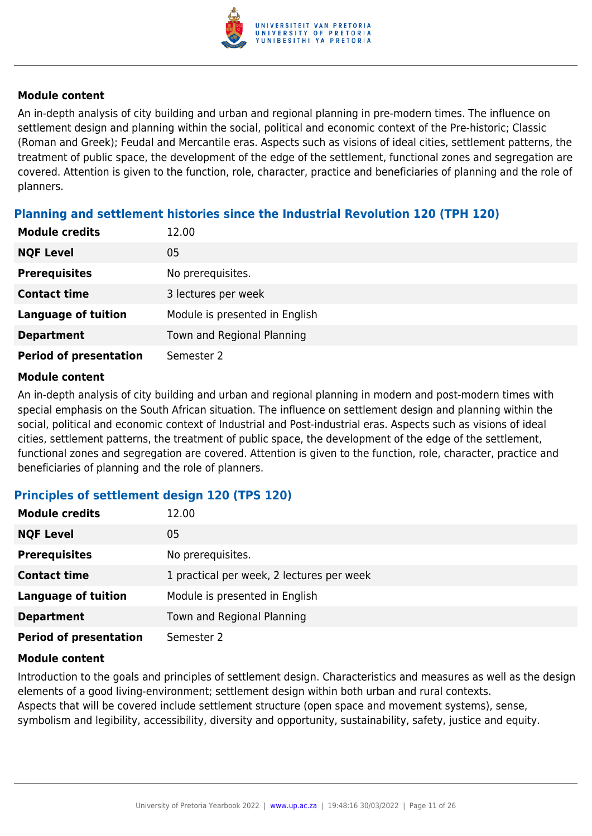

An in-depth analysis of city building and urban and regional planning in pre-modern times. The influence on settlement design and planning within the social, political and economic context of the Pre-historic; Classic (Roman and Greek); Feudal and Mercantile eras. Aspects such as visions of ideal cities, settlement patterns, the treatment of public space, the development of the edge of the settlement, functional zones and segregation are covered. Attention is given to the function, role, character, practice and beneficiaries of planning and the role of planners.

### **Planning and settlement histories since the Industrial Revolution 120 (TPH 120)**

| <b>Module credits</b>         | 12.00                          |
|-------------------------------|--------------------------------|
| <b>NQF Level</b>              | 05                             |
| <b>Prerequisites</b>          | No prerequisites.              |
| <b>Contact time</b>           | 3 lectures per week            |
| <b>Language of tuition</b>    | Module is presented in English |
| <b>Department</b>             | Town and Regional Planning     |
| <b>Period of presentation</b> | Semester 2                     |

#### **Module content**

An in-depth analysis of city building and urban and regional planning in modern and post-modern times with special emphasis on the South African situation. The influence on settlement design and planning within the social, political and economic context of Industrial and Post-industrial eras. Aspects such as visions of ideal cities, settlement patterns, the treatment of public space, the development of the edge of the settlement, functional zones and segregation are covered. Attention is given to the function, role, character, practice and beneficiaries of planning and the role of planners.

#### **Principles of settlement design 120 (TPS 120)**

| <b>Module credits</b>         | 12.00                                     |
|-------------------------------|-------------------------------------------|
| <b>NQF Level</b>              | 05                                        |
| <b>Prerequisites</b>          | No prerequisites.                         |
| <b>Contact time</b>           | 1 practical per week, 2 lectures per week |
| <b>Language of tuition</b>    | Module is presented in English            |
| <b>Department</b>             | Town and Regional Planning                |
| <b>Period of presentation</b> | Semester 2                                |

#### **Module content**

Introduction to the goals and principles of settlement design. Characteristics and measures as well as the design elements of a good living-environment; settlement design within both urban and rural contexts. Aspects that will be covered include settlement structure (open space and movement systems), sense, symbolism and legibility, accessibility, diversity and opportunity, sustainability, safety, justice and equity.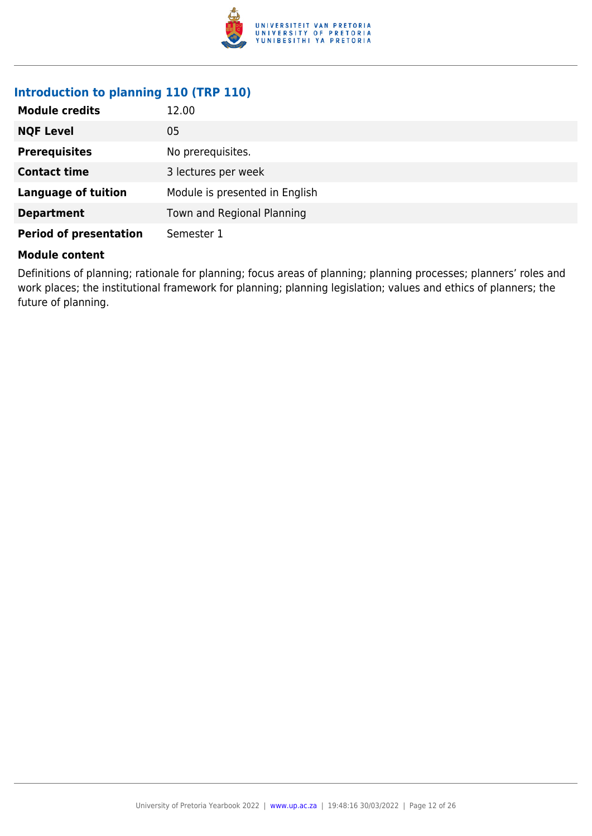

#### **Introduction to planning 110 (TRP 110)**

| <b>Module credits</b>         | 12.00                          |
|-------------------------------|--------------------------------|
| <b>NQF Level</b>              | 05                             |
| <b>Prerequisites</b>          | No prerequisites.              |
| <b>Contact time</b>           | 3 lectures per week            |
| <b>Language of tuition</b>    | Module is presented in English |
| <b>Department</b>             | Town and Regional Planning     |
| <b>Period of presentation</b> | Semester 1                     |

#### **Module content**

Definitions of planning; rationale for planning; focus areas of planning; planning processes; planners' roles and work places; the institutional framework for planning; planning legislation; values and ethics of planners; the future of planning.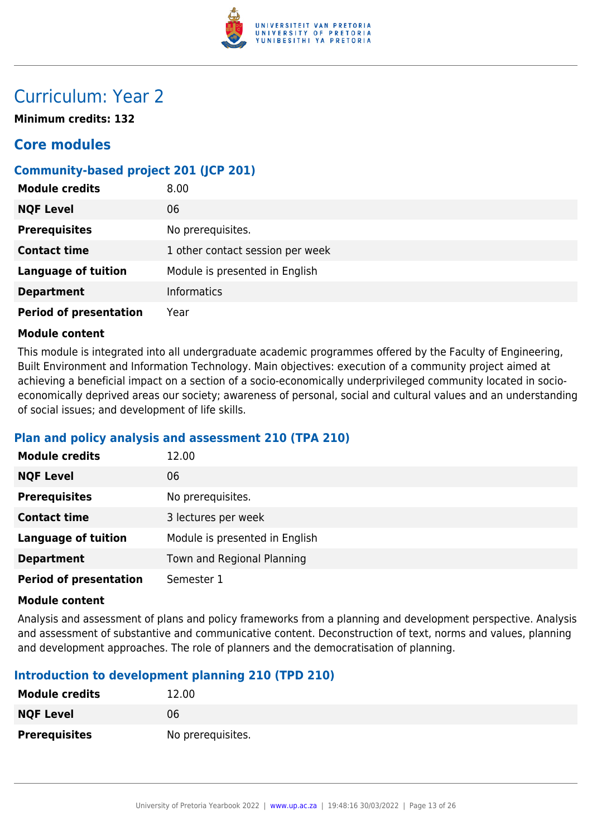

## Curriculum: Year 2

**Minimum credits: 132**

## **Core modules**

## **Community-based project 201 (JCP 201)**

| <b>Module credits</b>         | 8.00                             |
|-------------------------------|----------------------------------|
| <b>NQF Level</b>              | 06                               |
| <b>Prerequisites</b>          | No prerequisites.                |
| <b>Contact time</b>           | 1 other contact session per week |
| <b>Language of tuition</b>    | Module is presented in English   |
| <b>Department</b>             | <b>Informatics</b>               |
| <b>Period of presentation</b> | Year                             |

#### **Module content**

This module is integrated into all undergraduate academic programmes offered by the Faculty of Engineering, Built Environment and Information Technology. Main objectives: execution of a community project aimed at achieving a beneficial impact on a section of a socio-economically underprivileged community located in socioeconomically deprived areas our society; awareness of personal, social and cultural values and an understanding of social issues; and development of life skills.

#### **Plan and policy analysis and assessment 210 (TPA 210)**

| <b>Module credits</b>         | 12.00                          |
|-------------------------------|--------------------------------|
| <b>NQF Level</b>              | 06                             |
| <b>Prerequisites</b>          | No prerequisites.              |
| <b>Contact time</b>           | 3 lectures per week            |
| <b>Language of tuition</b>    | Module is presented in English |
| <b>Department</b>             | Town and Regional Planning     |
| <b>Period of presentation</b> | Semester 1                     |

#### **Module content**

Analysis and assessment of plans and policy frameworks from a planning and development perspective. Analysis and assessment of substantive and communicative content. Deconstruction of text, norms and values, planning and development approaches. The role of planners and the democratisation of planning.

#### **Introduction to development planning 210 (TPD 210)**

| <b>Module credits</b> | 12.00             |
|-----------------------|-------------------|
| <b>NQF Level</b>      | 06                |
| <b>Prerequisites</b>  | No prerequisites. |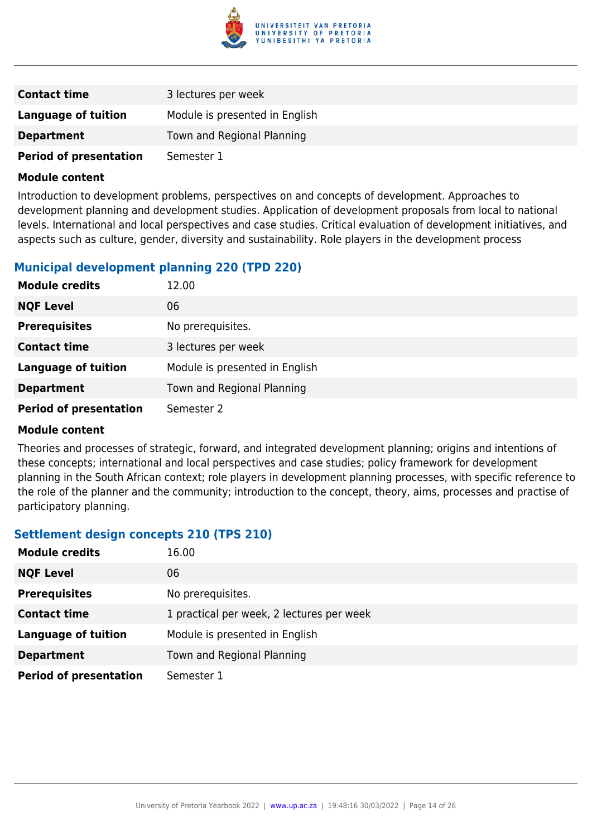

| <b>Contact time</b>           | 3 lectures per week            |
|-------------------------------|--------------------------------|
| <b>Language of tuition</b>    | Module is presented in English |
| <b>Department</b>             | Town and Regional Planning     |
| <b>Period of presentation</b> | Semester 1                     |

Introduction to development problems, perspectives on and concepts of development. Approaches to development planning and development studies. Application of development proposals from local to national levels. International and local perspectives and case studies. Critical evaluation of development initiatives, and aspects such as culture, gender, diversity and sustainability. Role players in the development process

#### **Municipal development planning 220 (TPD 220)**

| <b>Module credits</b>         | 12.00                          |
|-------------------------------|--------------------------------|
| <b>NQF Level</b>              | 06                             |
| <b>Prerequisites</b>          | No prerequisites.              |
| <b>Contact time</b>           | 3 lectures per week            |
| <b>Language of tuition</b>    | Module is presented in English |
| <b>Department</b>             | Town and Regional Planning     |
| <b>Period of presentation</b> | Semester 2                     |

#### **Module content**

Theories and processes of strategic, forward, and integrated development planning; origins and intentions of these concepts; international and local perspectives and case studies; policy framework for development planning in the South African context; role players in development planning processes, with specific reference to the role of the planner and the community; introduction to the concept, theory, aims, processes and practise of participatory planning.

#### **Settlement design concepts 210 (TPS 210)**

| <b>Module credits</b>         | 16.00                                     |
|-------------------------------|-------------------------------------------|
| <b>NQF Level</b>              | 06                                        |
| <b>Prerequisites</b>          | No prerequisites.                         |
| <b>Contact time</b>           | 1 practical per week, 2 lectures per week |
| <b>Language of tuition</b>    | Module is presented in English            |
| <b>Department</b>             | Town and Regional Planning                |
| <b>Period of presentation</b> | Semester 1                                |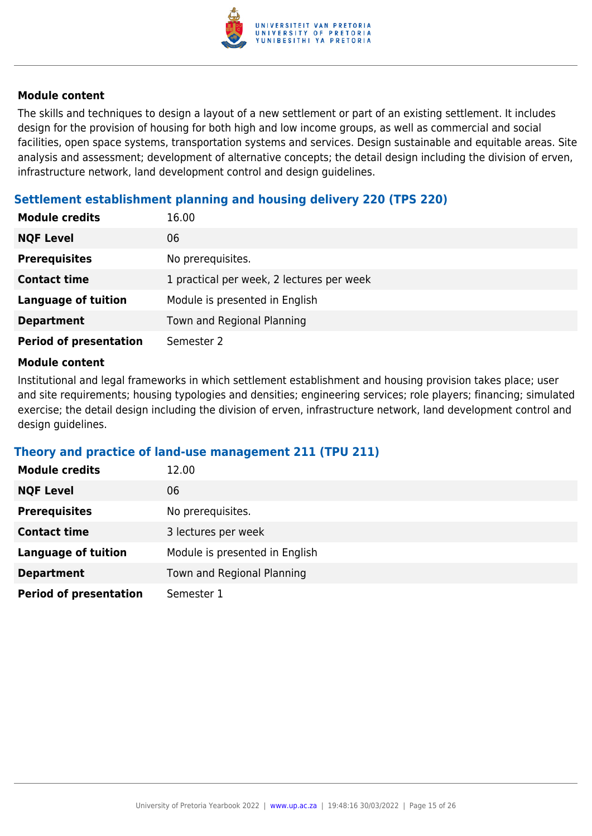

The skills and techniques to design a layout of a new settlement or part of an existing settlement. It includes design for the provision of housing for both high and low income groups, as well as commercial and social facilities, open space systems, transportation systems and services. Design sustainable and equitable areas. Site analysis and assessment; development of alternative concepts; the detail design including the division of erven, infrastructure network, land development control and design guidelines.

### **Settlement establishment planning and housing delivery 220 (TPS 220)**

| <b>Module credits</b>         | 16.00                                     |
|-------------------------------|-------------------------------------------|
| <b>NQF Level</b>              | 06                                        |
| <b>Prerequisites</b>          | No prerequisites.                         |
| <b>Contact time</b>           | 1 practical per week, 2 lectures per week |
| <b>Language of tuition</b>    | Module is presented in English            |
| <b>Department</b>             | Town and Regional Planning                |
| <b>Period of presentation</b> | Semester 2                                |

#### **Module content**

Institutional and legal frameworks in which settlement establishment and housing provision takes place; user and site requirements; housing typologies and densities; engineering services; role players; financing; simulated exercise; the detail design including the division of erven, infrastructure network, land development control and design guidelines.

#### **Theory and practice of land-use management 211 (TPU 211)**

| <b>Module credits</b>         | 12.00                          |
|-------------------------------|--------------------------------|
| <b>NQF Level</b>              | 06                             |
| <b>Prerequisites</b>          | No prerequisites.              |
| <b>Contact time</b>           | 3 lectures per week            |
| <b>Language of tuition</b>    | Module is presented in English |
| <b>Department</b>             | Town and Regional Planning     |
| <b>Period of presentation</b> | Semester 1                     |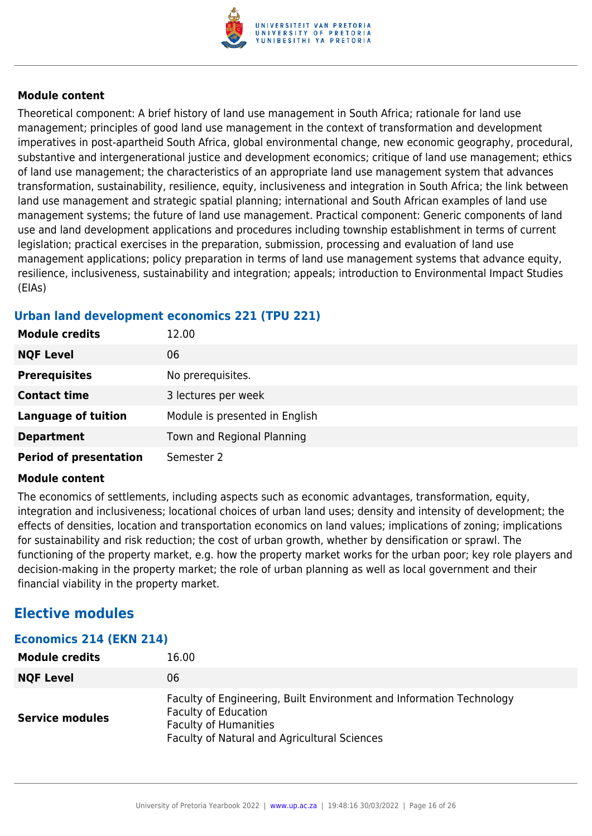

Theoretical component: A brief history of land use management in South Africa; rationale for land use management; principles of good land use management in the context of transformation and development imperatives in post-apartheid South Africa, global environmental change, new economic geography, procedural, substantive and intergenerational justice and development economics; critique of land use management; ethics of land use management; the characteristics of an appropriate land use management system that advances transformation, sustainability, resilience, equity, inclusiveness and integration in South Africa; the link between land use management and strategic spatial planning; international and South African examples of land use management systems; the future of land use management. Practical component: Generic components of land use and land development applications and procedures including township establishment in terms of current legislation; practical exercises in the preparation, submission, processing and evaluation of land use management applications; policy preparation in terms of land use management systems that advance equity, resilience, inclusiveness, sustainability and integration; appeals; introduction to Environmental Impact Studies (EIAs)

#### **Urban land development economics 221 (TPU 221)**

| <b>Module credits</b>         | 12.00                          |
|-------------------------------|--------------------------------|
| <b>NQF Level</b>              | 06                             |
| <b>Prerequisites</b>          | No prerequisites.              |
| <b>Contact time</b>           | 3 lectures per week            |
| <b>Language of tuition</b>    | Module is presented in English |
| <b>Department</b>             | Town and Regional Planning     |
| <b>Period of presentation</b> | Semester 2                     |

#### **Module content**

The economics of settlements, including aspects such as economic advantages, transformation, equity, integration and inclusiveness; locational choices of urban land uses; density and intensity of development; the effects of densities, location and transportation economics on land values; implications of zoning; implications for sustainability and risk reduction; the cost of urban growth, whether by densification or sprawl. The functioning of the property market, e.g. how the property market works for the urban poor; key role players and decision-making in the property market; the role of urban planning as well as local government and their financial viability in the property market.

## **Elective modules**

| Economics 214 (EKN 214) |                                                                                                                                                                                     |
|-------------------------|-------------------------------------------------------------------------------------------------------------------------------------------------------------------------------------|
| <b>Module credits</b>   | 16.00                                                                                                                                                                               |
| <b>NQF Level</b>        | 06                                                                                                                                                                                  |
| <b>Service modules</b>  | Faculty of Engineering, Built Environment and Information Technology<br><b>Faculty of Education</b><br><b>Faculty of Humanities</b><br>Faculty of Natural and Agricultural Sciences |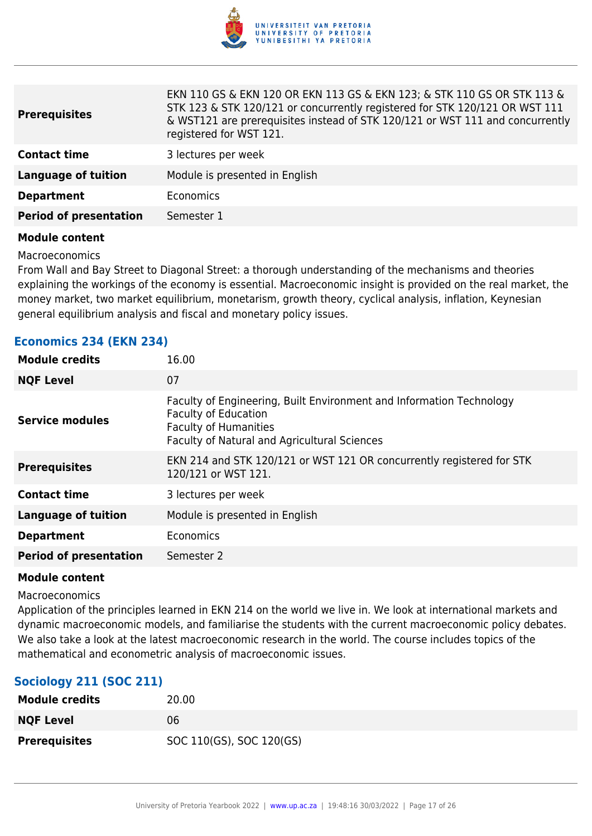

EKN 110 GS & EKN 120 OR EKN 113 GS & EKN 123; & STK 110 GS OR STK 113 &

| <b>Prerequisites</b>          | EKN 110 GS & EKN 120 OR EKN 113 GS & EKN 123; & STK 110 GS OR STK 113 &<br>STK 123 & STK 120/121 or concurrently registered for STK 120/121 OR WST 111<br>& WST121 are prerequisites instead of STK 120/121 or WST 111 and concurrently<br>registered for WST 121. |
|-------------------------------|--------------------------------------------------------------------------------------------------------------------------------------------------------------------------------------------------------------------------------------------------------------------|
| <b>Contact time</b>           | 3 lectures per week                                                                                                                                                                                                                                                |
| <b>Language of tuition</b>    | Module is presented in English                                                                                                                                                                                                                                     |
| <b>Department</b>             | Economics                                                                                                                                                                                                                                                          |
| <b>Period of presentation</b> | Semester 1                                                                                                                                                                                                                                                         |
|                               |                                                                                                                                                                                                                                                                    |

#### **Module content**

Macroeconomics

From Wall and Bay Street to Diagonal Street: a thorough understanding of the mechanisms and theories explaining the workings of the economy is essential. Macroeconomic insight is provided on the real market, the money market, two market equilibrium, monetarism, growth theory, cyclical analysis, inflation, Keynesian general equilibrium analysis and fiscal and monetary policy issues.

| <b>Module credits</b>         | 16.00                                                                                                                                                                               |
|-------------------------------|-------------------------------------------------------------------------------------------------------------------------------------------------------------------------------------|
| <b>NQF Level</b>              | 07                                                                                                                                                                                  |
| <b>Service modules</b>        | Faculty of Engineering, Built Environment and Information Technology<br><b>Faculty of Education</b><br><b>Faculty of Humanities</b><br>Faculty of Natural and Agricultural Sciences |
| <b>Prerequisites</b>          | EKN 214 and STK 120/121 or WST 121 OR concurrently registered for STK<br>120/121 or WST 121.                                                                                        |
| <b>Contact time</b>           | 3 lectures per week                                                                                                                                                                 |
| <b>Language of tuition</b>    | Module is presented in English                                                                                                                                                      |
| <b>Department</b>             | Economics                                                                                                                                                                           |
| <b>Period of presentation</b> | Semester 2                                                                                                                                                                          |
|                               |                                                                                                                                                                                     |

#### **Economics 234 (EKN 234)**

#### **Module content**

Macroeconomics

Application of the principles learned in EKN 214 on the world we live in. We look at international markets and dynamic macroeconomic models, and familiarise the students with the current macroeconomic policy debates. We also take a look at the latest macroeconomic research in the world. The course includes topics of the mathematical and econometric analysis of macroeconomic issues.

#### **Sociology 211 (SOC 211)**

| <b>Module credits</b> | 20.00                    |
|-----------------------|--------------------------|
| <b>NQF Level</b>      | 06                       |
| <b>Prerequisites</b>  | SOC 110(GS), SOC 120(GS) |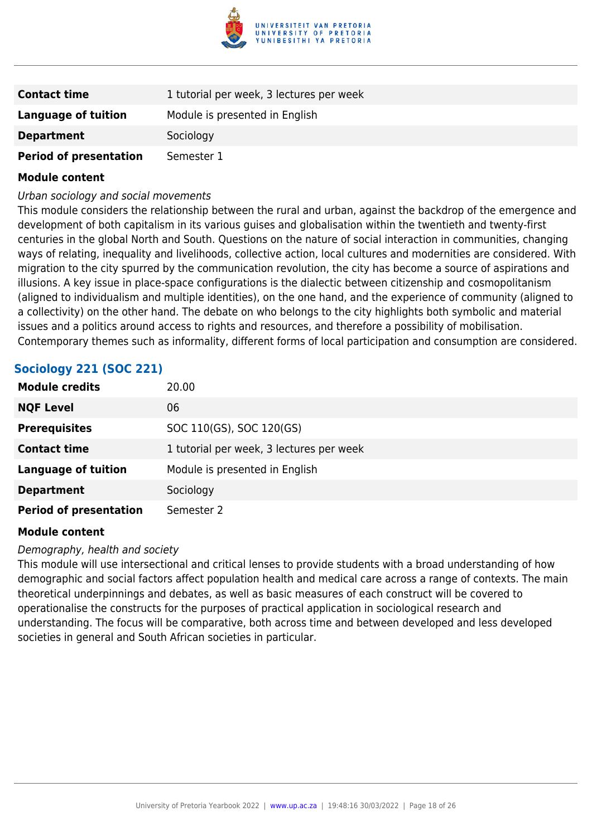

| <b>Contact time</b>           | 1 tutorial per week, 3 lectures per week |
|-------------------------------|------------------------------------------|
| Language of tuition           | Module is presented in English           |
| <b>Department</b>             | Sociology                                |
| <b>Period of presentation</b> | Semester 1                               |

#### Urban sociology and social movements

This module considers the relationship between the rural and urban, against the backdrop of the emergence and development of both capitalism in its various guises and globalisation within the twentieth and twenty-first centuries in the global North and South. Questions on the nature of social interaction in communities, changing ways of relating, inequality and livelihoods, collective action, local cultures and modernities are considered. With migration to the city spurred by the communication revolution, the city has become a source of aspirations and illusions. A key issue in place-space configurations is the dialectic between citizenship and cosmopolitanism (aligned to individualism and multiple identities), on the one hand, and the experience of community (aligned to a collectivity) on the other hand. The debate on who belongs to the city highlights both symbolic and material issues and a politics around access to rights and resources, and therefore a possibility of mobilisation. Contemporary themes such as informality, different forms of local participation and consumption are considered.

## **Sociology 221 (SOC 221)**

| <b>Module credits</b>         | 20.00                                    |
|-------------------------------|------------------------------------------|
| <b>NQF Level</b>              | 06                                       |
| <b>Prerequisites</b>          | SOC 110(GS), SOC 120(GS)                 |
| <b>Contact time</b>           | 1 tutorial per week, 3 lectures per week |
| <b>Language of tuition</b>    | Module is presented in English           |
| <b>Department</b>             | Sociology                                |
| <b>Period of presentation</b> | Semester 2                               |

#### **Module content**

#### Demography, health and society

This module will use intersectional and critical lenses to provide students with a broad understanding of how demographic and social factors affect population health and medical care across a range of contexts. The main theoretical underpinnings and debates, as well as basic measures of each construct will be covered to operationalise the constructs for the purposes of practical application in sociological research and understanding. The focus will be comparative, both across time and between developed and less developed societies in general and South African societies in particular.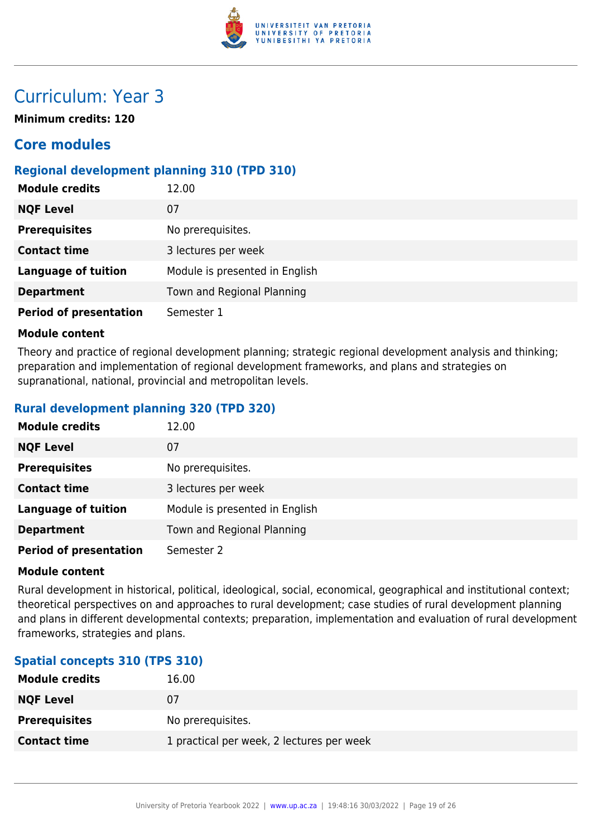

## Curriculum: Year 3

**Minimum credits: 120**

## **Core modules**

### **Regional development planning 310 (TPD 310)**

| <b>Module credits</b>         | 12.00                          |
|-------------------------------|--------------------------------|
| <b>NQF Level</b>              | 07                             |
| <b>Prerequisites</b>          | No prerequisites.              |
| <b>Contact time</b>           | 3 lectures per week            |
| <b>Language of tuition</b>    | Module is presented in English |
| <b>Department</b>             | Town and Regional Planning     |
| <b>Period of presentation</b> | Semester 1                     |

#### **Module content**

Theory and practice of regional development planning; strategic regional development analysis and thinking; preparation and implementation of regional development frameworks, and plans and strategies on supranational, national, provincial and metropolitan levels.

### **Rural development planning 320 (TPD 320)**

| <b>Module credits</b>         | 12.00                          |
|-------------------------------|--------------------------------|
| <b>NQF Level</b>              | 07                             |
| <b>Prerequisites</b>          | No prerequisites.              |
| <b>Contact time</b>           | 3 lectures per week            |
| <b>Language of tuition</b>    | Module is presented in English |
| <b>Department</b>             | Town and Regional Planning     |
| <b>Period of presentation</b> | Semester 2                     |

#### **Module content**

Rural development in historical, political, ideological, social, economical, geographical and institutional context; theoretical perspectives on and approaches to rural development; case studies of rural development planning and plans in different developmental contexts; preparation, implementation and evaluation of rural development frameworks, strategies and plans.

#### **Spatial concepts 310 (TPS 310)**

| <b>Module credits</b> | 16.00                                     |
|-----------------------|-------------------------------------------|
| <b>NQF Level</b>      | 0/                                        |
| <b>Prerequisites</b>  | No prerequisites.                         |
| <b>Contact time</b>   | 1 practical per week, 2 lectures per week |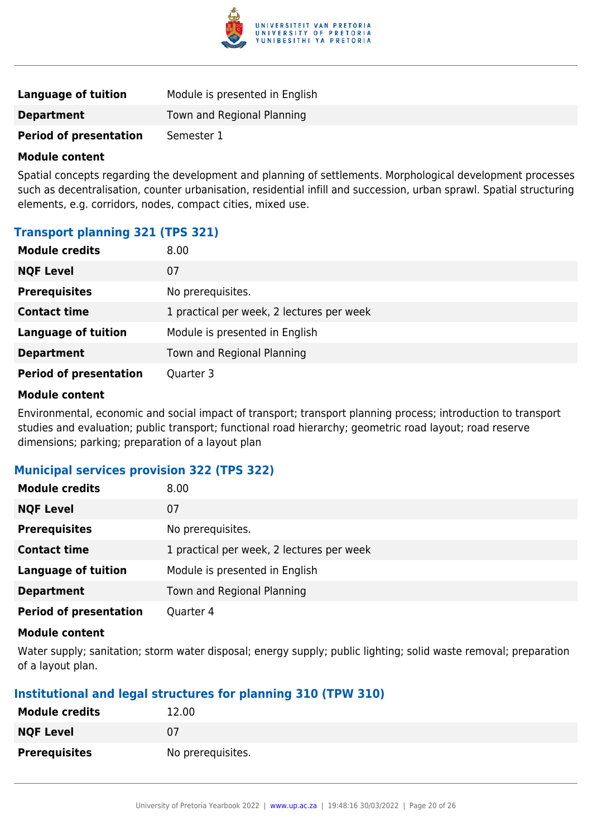

| Language of tuition           | Module is presented in English |
|-------------------------------|--------------------------------|
| <b>Department</b>             | Town and Regional Planning     |
| <b>Period of presentation</b> | Semester 1                     |

Spatial concepts regarding the development and planning of settlements. Morphological development processes such as decentralisation, counter urbanisation, residential infill and succession, urban sprawl. Spatial structuring elements, e.g. corridors, nodes, compact cities, mixed use.

## **Transport planning 321 (TPS 321)**

| <b>Module credits</b>         | 8.00                                      |
|-------------------------------|-------------------------------------------|
| <b>NQF Level</b>              | 07                                        |
| <b>Prerequisites</b>          | No prerequisites.                         |
| <b>Contact time</b>           | 1 practical per week, 2 lectures per week |
| <b>Language of tuition</b>    | Module is presented in English            |
| <b>Department</b>             | Town and Regional Planning                |
| <b>Period of presentation</b> | Quarter 3                                 |

#### **Module content**

Environmental, economic and social impact of transport; transport planning process; introduction to transport studies and evaluation; public transport; functional road hierarchy; geometric road layout; road reserve dimensions; parking; preparation of a layout plan

#### **Municipal services provision 322 (TPS 322)**

| <b>Module credits</b>         | 8.00                                      |
|-------------------------------|-------------------------------------------|
| <b>NQF Level</b>              | 07                                        |
| <b>Prerequisites</b>          | No prerequisites.                         |
| <b>Contact time</b>           | 1 practical per week, 2 lectures per week |
| <b>Language of tuition</b>    | Module is presented in English            |
| <b>Department</b>             | Town and Regional Planning                |
| <b>Period of presentation</b> | Quarter 4                                 |

#### **Module content**

Water supply; sanitation; storm water disposal; energy supply; public lighting; solid waste removal; preparation of a layout plan.

#### **Institutional and legal structures for planning 310 (TPW 310)**

| <b>Module credits</b> | 12.00             |
|-----------------------|-------------------|
| <b>NQF Level</b>      | 07                |
| <b>Prerequisites</b>  | No prerequisites. |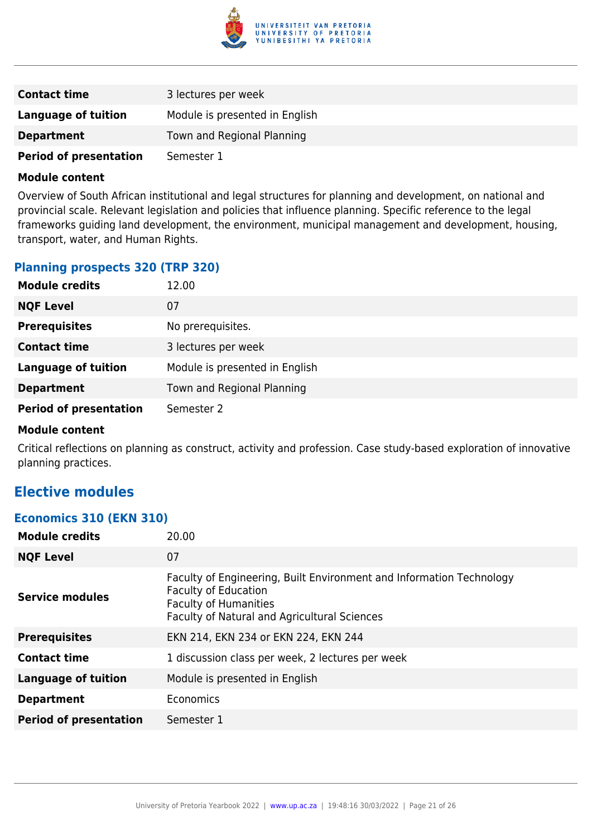

| <b>Contact time</b>           | 3 lectures per week            |
|-------------------------------|--------------------------------|
| Language of tuition           | Module is presented in English |
| <b>Department</b>             | Town and Regional Planning     |
| <b>Period of presentation</b> | Semester 1                     |

Overview of South African institutional and legal structures for planning and development, on national and provincial scale. Relevant legislation and policies that influence planning. Specific reference to the legal frameworks guiding land development, the environment, municipal management and development, housing, transport, water, and Human Rights.

#### **Planning prospects 320 (TRP 320)**

| <b>Module credits</b>         | 12.00                          |
|-------------------------------|--------------------------------|
| <b>NQF Level</b>              | 07                             |
| <b>Prerequisites</b>          | No prerequisites.              |
| <b>Contact time</b>           | 3 lectures per week            |
| <b>Language of tuition</b>    | Module is presented in English |
| <b>Department</b>             | Town and Regional Planning     |
| <b>Period of presentation</b> | Semester 2                     |

#### **Module content**

Critical reflections on planning as construct, activity and profession. Case study-based exploration of innovative planning practices.

## **Elective modules**

#### **Economics 310 (EKN 310)**

| <b>Module credits</b>         | 20.00                                                                                                                                                                               |
|-------------------------------|-------------------------------------------------------------------------------------------------------------------------------------------------------------------------------------|
| <b>NQF Level</b>              | 07                                                                                                                                                                                  |
| <b>Service modules</b>        | Faculty of Engineering, Built Environment and Information Technology<br><b>Faculty of Education</b><br><b>Faculty of Humanities</b><br>Faculty of Natural and Agricultural Sciences |
| <b>Prerequisites</b>          | EKN 214, EKN 234 or EKN 224, EKN 244                                                                                                                                                |
| <b>Contact time</b>           | 1 discussion class per week, 2 lectures per week                                                                                                                                    |
| <b>Language of tuition</b>    | Module is presented in English                                                                                                                                                      |
| <b>Department</b>             | Economics                                                                                                                                                                           |
| <b>Period of presentation</b> | Semester 1                                                                                                                                                                          |
|                               |                                                                                                                                                                                     |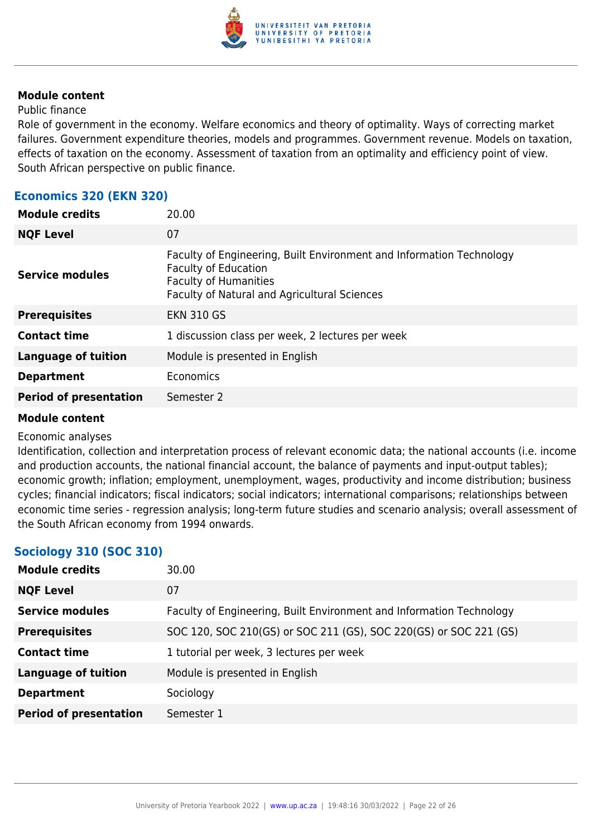

#### Public finance

Role of government in the economy. Welfare economics and theory of optimality. Ways of correcting market failures. Government expenditure theories, models and programmes. Government revenue. Models on taxation, effects of taxation on the economy. Assessment of taxation from an optimality and efficiency point of view. South African perspective on public finance.

#### **Economics 320 (EKN 320)**

| <b>Module credits</b>         | 20.00                                                                                                                                                                               |
|-------------------------------|-------------------------------------------------------------------------------------------------------------------------------------------------------------------------------------|
| <b>NQF Level</b>              | 07                                                                                                                                                                                  |
| <b>Service modules</b>        | Faculty of Engineering, Built Environment and Information Technology<br><b>Faculty of Education</b><br><b>Faculty of Humanities</b><br>Faculty of Natural and Agricultural Sciences |
| <b>Prerequisites</b>          | <b>EKN 310 GS</b>                                                                                                                                                                   |
| <b>Contact time</b>           | 1 discussion class per week, 2 lectures per week                                                                                                                                    |
| <b>Language of tuition</b>    | Module is presented in English                                                                                                                                                      |
| <b>Department</b>             | Economics                                                                                                                                                                           |
| <b>Period of presentation</b> | Semester 2                                                                                                                                                                          |
|                               |                                                                                                                                                                                     |

#### **Module content**

#### Economic analyses

Identification, collection and interpretation process of relevant economic data; the national accounts (i.e. income and production accounts, the national financial account, the balance of payments and input-output tables); economic growth; inflation; employment, unemployment, wages, productivity and income distribution; business cycles; financial indicators; fiscal indicators; social indicators; international comparisons; relationships between economic time series - regression analysis; long-term future studies and scenario analysis; overall assessment of the South African economy from 1994 onwards.

## **Sociology 310 (SOC 310)**

| <b>Module credits</b>         | 30.00                                                                |
|-------------------------------|----------------------------------------------------------------------|
| <b>NQF Level</b>              | 07                                                                   |
| <b>Service modules</b>        | Faculty of Engineering, Built Environment and Information Technology |
| <b>Prerequisites</b>          | SOC 120, SOC 210(GS) or SOC 211 (GS), SOC 220(GS) or SOC 221 (GS)    |
| <b>Contact time</b>           | 1 tutorial per week, 3 lectures per week                             |
| <b>Language of tuition</b>    | Module is presented in English                                       |
| <b>Department</b>             | Sociology                                                            |
| <b>Period of presentation</b> | Semester 1                                                           |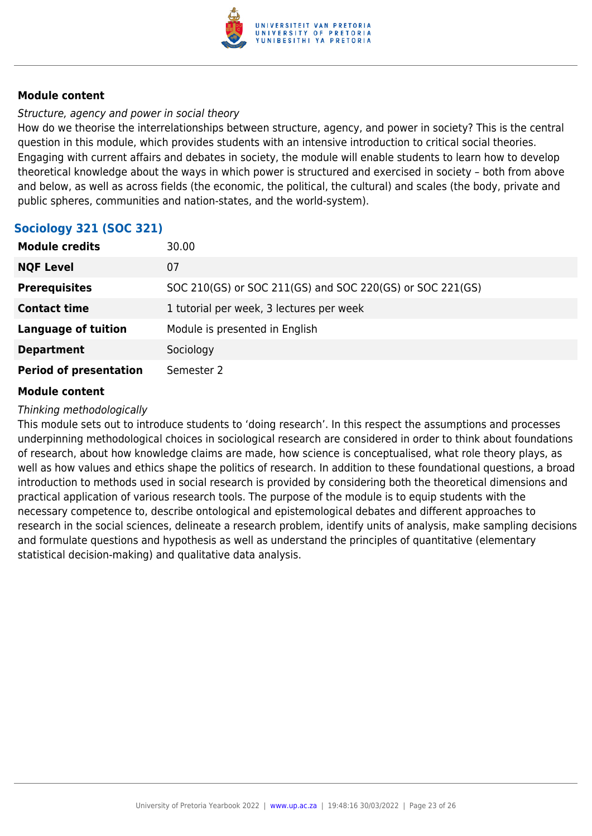

#### Structure, agency and power in social theory

How do we theorise the interrelationships between structure, agency, and power in society? This is the central question in this module, which provides students with an intensive introduction to critical social theories. Engaging with current affairs and debates in society, the module will enable students to learn how to develop theoretical knowledge about the ways in which power is structured and exercised in society – both from above and below, as well as across fields (the economic, the political, the cultural) and scales (the body, private and public spheres, communities and nation-states, and the world-system).

### **Sociology 321 (SOC 321)**

| <b>Module credits</b>         | 30.00                                                     |
|-------------------------------|-----------------------------------------------------------|
| <b>NQF Level</b>              | 07                                                        |
| <b>Prerequisites</b>          | SOC 210(GS) or SOC 211(GS) and SOC 220(GS) or SOC 221(GS) |
| <b>Contact time</b>           | 1 tutorial per week, 3 lectures per week                  |
| <b>Language of tuition</b>    | Module is presented in English                            |
| <b>Department</b>             | Sociology                                                 |
| <b>Period of presentation</b> | Semester 2                                                |

#### **Module content**

#### Thinking methodologically

This module sets out to introduce students to 'doing research'. In this respect the assumptions and processes underpinning methodological choices in sociological research are considered in order to think about foundations of research, about how knowledge claims are made, how science is conceptualised, what role theory plays, as well as how values and ethics shape the politics of research. In addition to these foundational questions, a broad introduction to methods used in social research is provided by considering both the theoretical dimensions and practical application of various research tools. The purpose of the module is to equip students with the necessary competence to, describe ontological and epistemological debates and different approaches to research in the social sciences, delineate a research problem, identify units of analysis, make sampling decisions and formulate questions and hypothesis as well as understand the principles of quantitative (elementary statistical decision-making) and qualitative data analysis.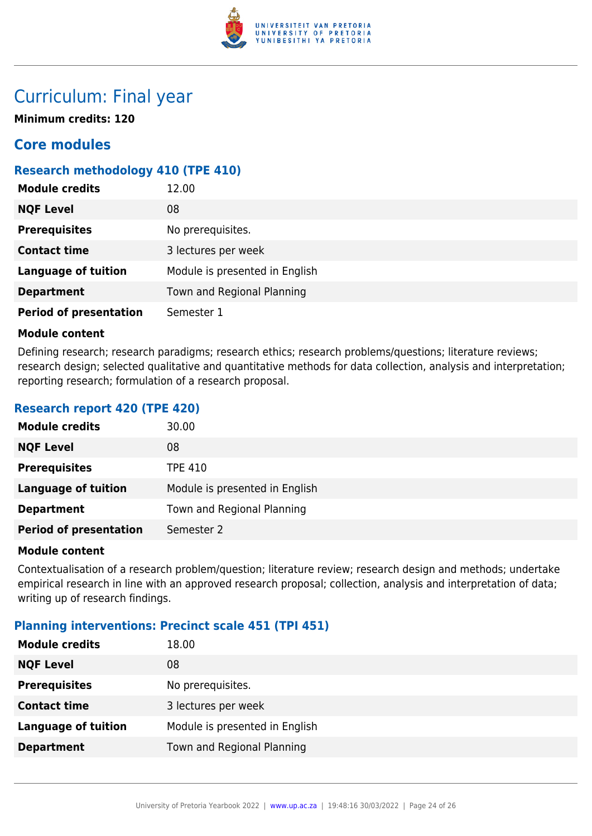

## Curriculum: Final year

**Minimum credits: 120**

## **Core modules**

### **Research methodology 410 (TPE 410)**

| <b>Module credits</b>         | 12.00                          |
|-------------------------------|--------------------------------|
| <b>NQF Level</b>              | 08                             |
| <b>Prerequisites</b>          | No prerequisites.              |
| <b>Contact time</b>           | 3 lectures per week            |
| <b>Language of tuition</b>    | Module is presented in English |
| <b>Department</b>             | Town and Regional Planning     |
| <b>Period of presentation</b> | Semester 1                     |

#### **Module content**

Defining research; research paradigms; research ethics; research problems/questions; literature reviews; research design; selected qualitative and quantitative methods for data collection, analysis and interpretation; reporting research; formulation of a research proposal.

#### **Research report 420 (TPE 420)**

| <b>Module credits</b>         | 30.00                          |
|-------------------------------|--------------------------------|
| <b>NQF Level</b>              | 08                             |
| <b>Prerequisites</b>          | <b>TPE 410</b>                 |
| <b>Language of tuition</b>    | Module is presented in English |
| <b>Department</b>             | Town and Regional Planning     |
| <b>Period of presentation</b> | Semester 2                     |

#### **Module content**

Contextualisation of a research problem/question; literature review; research design and methods; undertake empirical research in line with an approved research proposal; collection, analysis and interpretation of data; writing up of research findings.

#### **Planning interventions: Precinct scale 451 (TPI 451)**

| <b>Module credits</b>      | 18.00                          |
|----------------------------|--------------------------------|
| <b>NQF Level</b>           | 08                             |
| <b>Prerequisites</b>       | No prerequisites.              |
| <b>Contact time</b>        | 3 lectures per week            |
| <b>Language of tuition</b> | Module is presented in English |
| <b>Department</b>          | Town and Regional Planning     |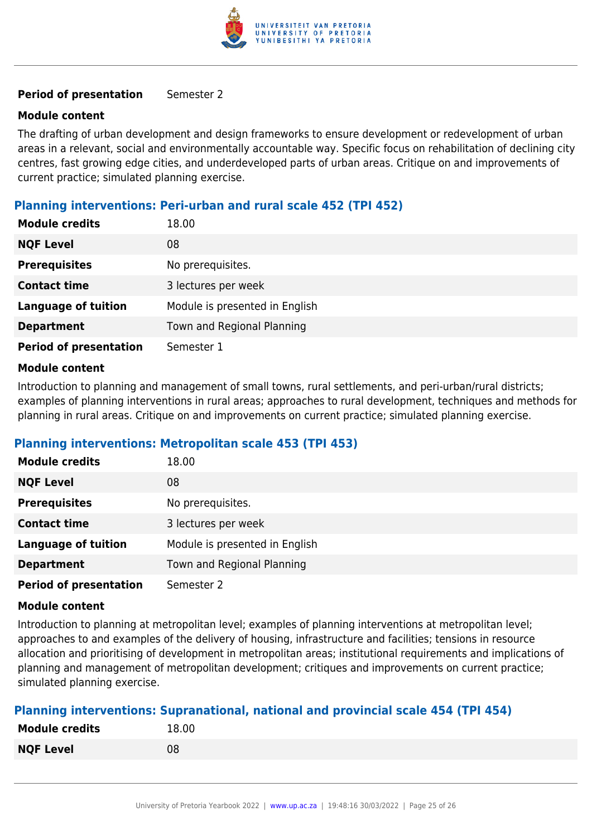

#### **Period of presentation** Semester 2

#### **Module content**

The drafting of urban development and design frameworks to ensure development or redevelopment of urban areas in a relevant, social and environmentally accountable way. Specific focus on rehabilitation of declining city centres, fast growing edge cities, and underdeveloped parts of urban areas. Critique on and improvements of current practice; simulated planning exercise.

#### **Planning interventions: Peri-urban and rural scale 452 (TPI 452)**

| <b>Module credits</b>         | 18.00                          |
|-------------------------------|--------------------------------|
| <b>NQF Level</b>              | 08                             |
| <b>Prerequisites</b>          | No prerequisites.              |
| <b>Contact time</b>           | 3 lectures per week            |
| <b>Language of tuition</b>    | Module is presented in English |
| <b>Department</b>             | Town and Regional Planning     |
| <b>Period of presentation</b> | Semester 1                     |

#### **Module content**

Introduction to planning and management of small towns, rural settlements, and peri-urban/rural districts; examples of planning interventions in rural areas; approaches to rural development, techniques and methods for planning in rural areas. Critique on and improvements on current practice; simulated planning exercise.

#### **Planning interventions: Metropolitan scale 453 (TPI 453)**

| <b>Module credits</b>         | 18.00                          |
|-------------------------------|--------------------------------|
| <b>NQF Level</b>              | 08                             |
| <b>Prerequisites</b>          | No prerequisites.              |
| <b>Contact time</b>           | 3 lectures per week            |
| <b>Language of tuition</b>    | Module is presented in English |
| <b>Department</b>             | Town and Regional Planning     |
| <b>Period of presentation</b> | Semester 2                     |

#### **Module content**

Introduction to planning at metropolitan level; examples of planning interventions at metropolitan level; approaches to and examples of the delivery of housing, infrastructure and facilities; tensions in resource allocation and prioritising of development in metropolitan areas; institutional requirements and implications of planning and management of metropolitan development; critiques and improvements on current practice; simulated planning exercise.

#### **Planning interventions: Supranational, national and provincial scale 454 (TPI 454)**

| <b>Module credits</b> | 18.00 |
|-----------------------|-------|
| <b>NQF Level</b>      | 08    |